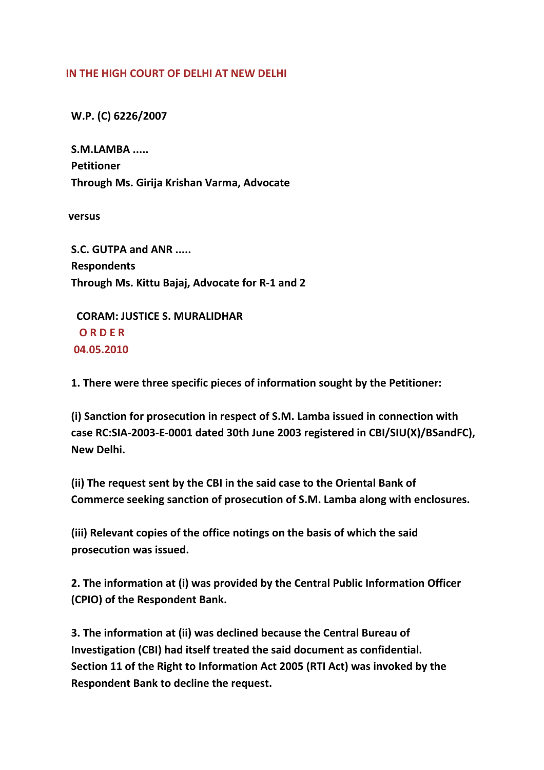## **IN THE HIGH COURT OF DELHI AT NEW DELHI**

 **W.P. (C) 6226/2007**

 **S.M.LAMBA ..... Petitioner Through Ms. Girija Krishan Varma, Advocate**

**versus**

 **S.C. GUTPA and ANR ..... Respondents Through Ms. Kittu Bajaj, Advocate for R‐1 and 2**

 **CORAM: JUSTICE S. MURALIDHAR O R D E R 04.05.2010**

 **1. There were three specific pieces of information sought by the Petitioner:**

 **(i) Sanction for prosecution in respect of S.M. Lamba issued in connection with case RC:SIA‐2003‐E‐0001 dated 30th June 2003 registered in CBI/SIU(X)/BSandFC), New Delhi.**

 **(ii) The request sent by the CBI in the said case to the Oriental Bank of Commerce seeking sanction of prosecution of S.M. Lamba along with enclosures.**

 **(iii) Relevant copies of the office notings on the basis of which the said prosecution was issued.**

 **2. The information at (i) was provided by the Central Public Information Officer (CPIO) of the Respondent Bank.**

 **3. The information at (ii) was declined because the Central Bureau of Investigation (CBI) had itself treated the said document as confidential. Section 11 of the Right to Information Act 2005 (RTI Act) was invoked by the Respondent Bank to decline the request.**